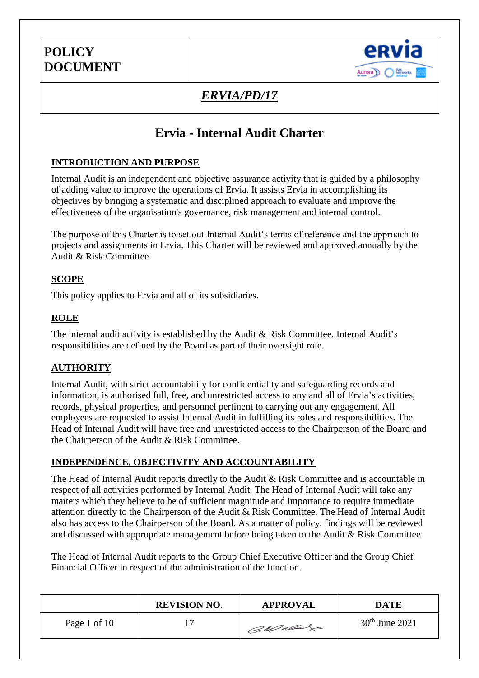

# *ERVIA/PD/17*

## **Ervia - Internal Audit Charter**

### **INTRODUCTION AND PURPOSE**

Internal Audit is an independent and objective assurance activity that is guided by a philosophy of adding value to improve the operations of Ervia. It assists Ervia in accomplishing its objectives by bringing a systematic and disciplined approach to evaluate and improve the effectiveness of the organisation's governance, risk management and internal control.

The purpose of this Charter is to set out Internal Audit's terms of reference and the approach to projects and assignments in Ervia. This Charter will be reviewed and approved annually by the Audit & Risk Committee.

#### **SCOPE**

This policy applies to Ervia and all of its subsidiaries.

### **ROLE**

The internal audit activity is established by the Audit & Risk Committee. Internal Audit's responsibilities are defined by the Board as part of their oversight role.

### **AUTHORITY**

Internal Audit, with strict accountability for confidentiality and safeguarding records and information, is authorised full, free, and unrestricted access to any and all of Ervia's activities, records, physical properties, and personnel pertinent to carrying out any engagement. All employees are requested to assist Internal Audit in fulfilling its roles and responsibilities. The Head of Internal Audit will have free and unrestricted access to the Chairperson of the Board and the Chairperson of the Audit & Risk Committee.

#### **INDEPENDENCE, OBJECTIVITY AND ACCOUNTABILITY**

The Head of Internal Audit reports directly to the Audit & Risk Committee and is accountable in respect of all activities performed by Internal Audit. The Head of Internal Audit will take any matters which they believe to be of sufficient magnitude and importance to require immediate attention directly to the Chairperson of the Audit & Risk Committee. The Head of Internal Audit also has access to the Chairperson of the Board. As a matter of policy, findings will be reviewed and discussed with appropriate management before being taken to the Audit & Risk Committee.

The Head of Internal Audit reports to the Group Chief Executive Officer and the Group Chief Financial Officer in respect of the administration of the function.

|              | <b>REVISION NO.</b> | <b>APPROVAL</b> | DATE             |
|--------------|---------------------|-----------------|------------------|
| Page 1 of 10 | . H                 | CaMulare        | $30th$ June 2021 |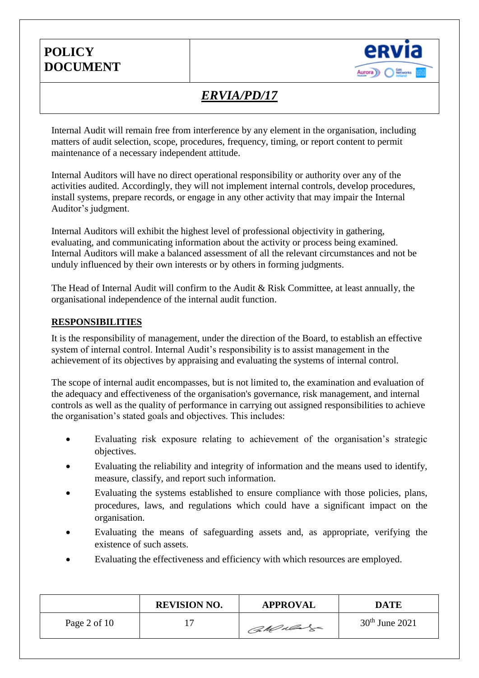

# *ERVIA/PD/17*

Internal Audit will remain free from interference by any element in the organisation, including matters of audit selection, scope, procedures, frequency, timing, or report content to permit maintenance of a necessary independent attitude.

Internal Auditors will have no direct operational responsibility or authority over any of the activities audited. Accordingly, they will not implement internal controls, develop procedures, install systems, prepare records, or engage in any other activity that may impair the Internal Auditor's judgment.

Internal Auditors will exhibit the highest level of professional objectivity in gathering, evaluating, and communicating information about the activity or process being examined. Internal Auditors will make a balanced assessment of all the relevant circumstances and not be unduly influenced by their own interests or by others in forming judgments.

The Head of Internal Audit will confirm to the Audit & Risk Committee, at least annually, the organisational independence of the internal audit function.

#### **RESPONSIBILITIES**

It is the responsibility of management, under the direction of the Board, to establish an effective system of internal control. Internal Audit's responsibility is to assist management in the achievement of its objectives by appraising and evaluating the systems of internal control.

The scope of internal audit encompasses, but is not limited to, the examination and evaluation of the adequacy and effectiveness of the organisation's governance, risk management, and internal controls as well as the quality of performance in carrying out assigned responsibilities to achieve the organisation's stated goals and objectives. This includes:

- Evaluating risk exposure relating to achievement of the organisation's strategic objectives.
- Evaluating the reliability and integrity of information and the means used to identify, measure, classify, and report such information.
- Evaluating the systems established to ensure compliance with those policies, plans, procedures, laws, and regulations which could have a significant impact on the organisation.
- Evaluating the means of safeguarding assets and, as appropriate, verifying the existence of such assets.
- Evaluating the effectiveness and efficiency with which resources are employed.

|                | <b>REVISION NO.</b> | <b>APPROVAL</b> | <b>DATE</b>      |
|----------------|---------------------|-----------------|------------------|
| Page 2 of $10$ |                     | CaMulage        | $30th$ June 2021 |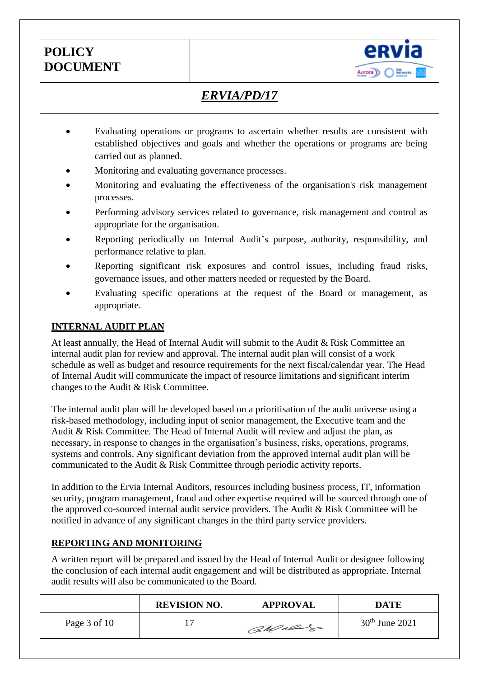

# *ERVIA/PD/17*

- Evaluating operations or programs to ascertain whether results are consistent with established objectives and goals and whether the operations or programs are being carried out as planned.
- Monitoring and evaluating governance processes.
- Monitoring and evaluating the effectiveness of the organisation's risk management processes.
- Performing advisory services related to governance, risk management and control as appropriate for the organisation.
- Reporting periodically on Internal Audit's purpose, authority, responsibility, and performance relative to plan.
- Reporting significant risk exposures and control issues, including fraud risks, governance issues, and other matters needed or requested by the Board.
- Evaluating specific operations at the request of the Board or management, as appropriate.

### **INTERNAL AUDIT PLAN**

At least annually, the Head of Internal Audit will submit to the Audit & Risk Committee an internal audit plan for review and approval. The internal audit plan will consist of a work schedule as well as budget and resource requirements for the next fiscal/calendar year. The Head of Internal Audit will communicate the impact of resource limitations and significant interim changes to the Audit & Risk Committee.

The internal audit plan will be developed based on a prioritisation of the audit universe using a risk-based methodology, including input of senior management, the Executive team and the Audit & Risk Committee. The Head of Internal Audit will review and adjust the plan, as necessary, in response to changes in the organisation's business, risks, operations, programs, systems and controls. Any significant deviation from the approved internal audit plan will be communicated to the Audit & Risk Committee through periodic activity reports.

In addition to the Ervia Internal Auditors, resources including business process, IT, information security, program management, fraud and other expertise required will be sourced through one of the approved co-sourced internal audit service providers. The Audit & Risk Committee will be notified in advance of any significant changes in the third party service providers.

### **REPORTING AND MONITORING**

A written report will be prepared and issued by the Head of Internal Audit or designee following the conclusion of each internal audit engagement and will be distributed as appropriate. Internal audit results will also be communicated to the Board.

|              | <b>REVISION NO.</b> | <b>APPROVAL</b> | DATE             |
|--------------|---------------------|-----------------|------------------|
| Page 3 of 10 |                     | CaMulage        | $30th$ June 2021 |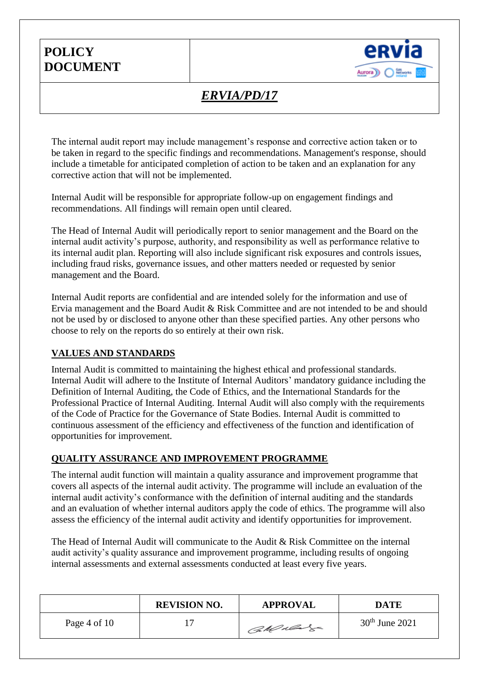

# *ERVIA/PD/17*

The internal audit report may include management's response and corrective action taken or to be taken in regard to the specific findings and recommendations. Management's response, should include a timetable for anticipated completion of action to be taken and an explanation for any corrective action that will not be implemented.

Internal Audit will be responsible for appropriate follow-up on engagement findings and recommendations. All findings will remain open until cleared.

The Head of Internal Audit will periodically report to senior management and the Board on the internal audit activity's purpose, authority, and responsibility as well as performance relative to its internal audit plan. Reporting will also include significant risk exposures and controls issues, including fraud risks, governance issues, and other matters needed or requested by senior management and the Board.

Internal Audit reports are confidential and are intended solely for the information and use of Ervia management and the Board Audit & Risk Committee and are not intended to be and should not be used by or disclosed to anyone other than these specified parties. Any other persons who choose to rely on the reports do so entirely at their own risk.

#### **VALUES AND STANDARDS**

Internal Audit is committed to maintaining the highest ethical and professional standards. Internal Audit will adhere to the Institute of Internal Auditors' mandatory guidance including the Definition of Internal Auditing, the Code of Ethics, and the International Standards for the Professional Practice of Internal Auditing. Internal Audit will also comply with the requirements of the Code of Practice for the Governance of State Bodies. Internal Audit is committed to continuous assessment of the efficiency and effectiveness of the function and identification of opportunities for improvement.

#### **QUALITY ASSURANCE AND IMPROVEMENT PROGRAMME**

The internal audit function will maintain a quality assurance and improvement programme that covers all aspects of the internal audit activity. The programme will include an evaluation of the internal audit activity's conformance with the definition of internal auditing and the standards and an evaluation of whether internal auditors apply the code of ethics. The programme will also assess the efficiency of the internal audit activity and identify opportunities for improvement.

The Head of Internal Audit will communicate to the Audit & Risk Committee on the internal audit activity's quality assurance and improvement programme, including results of ongoing internal assessments and external assessments conducted at least every five years.

|                | <b>REVISION NO.</b> | <b>APPROVAL</b> | <b>DATE</b>      |
|----------------|---------------------|-----------------|------------------|
| Page 4 of $10$ |                     | CaMulage        | $30th$ June 2021 |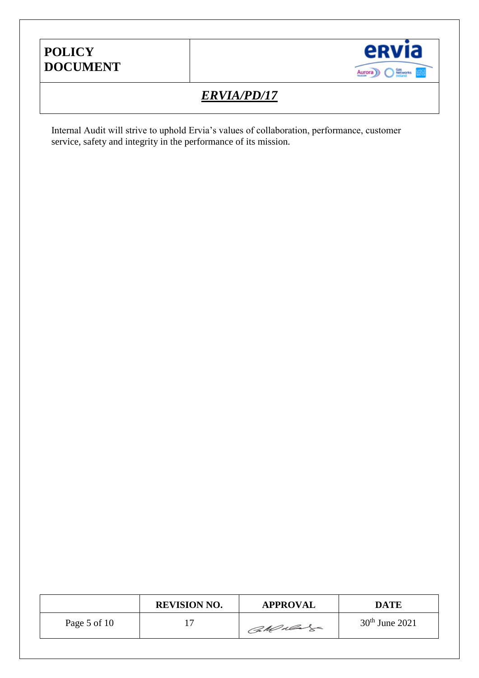

# *ERVIA/PD/17*

Internal Audit will strive to uphold Ervia's values of collaboration, performance, customer service, safety and integrity in the performance of its mission.

|              | <b>REVISION NO.</b> | <b>APPROVAL</b> | <b>DATE</b>      |
|--------------|---------------------|-----------------|------------------|
| Page 5 of 10 |                     | CaMulage        | $30th$ June 2021 |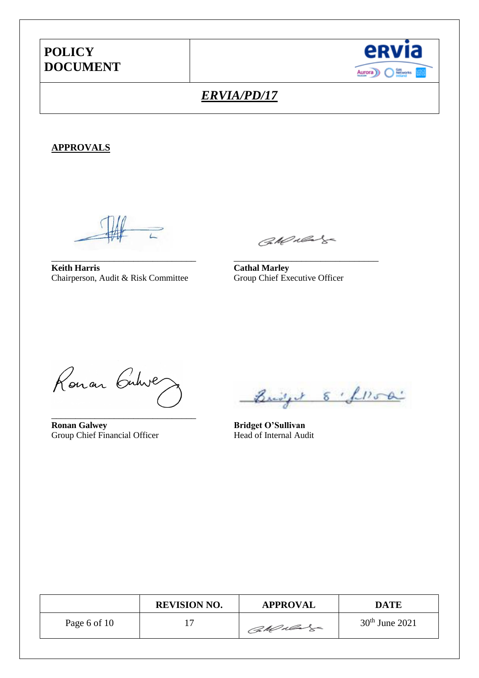

## *ERVIA/PD/17*

#### **APPROVALS**

**Keith Harris**<br> **Cathal Marley**<br>
Chairperson, Audit & Risk Committee<br>
Group Chief Executive Officer Chairperson, Audit & Risk Committee

CARRE

\_\_\_\_\_\_\_\_\_\_\_\_\_\_\_\_\_\_\_\_\_\_\_\_\_\_\_\_\_\_ \_\_\_\_\_\_\_\_\_\_\_\_\_\_\_\_\_\_\_\_\_\_\_\_\_\_\_\_\_\_

Ronan Cubive

\_\_\_\_\_\_\_\_\_\_\_\_\_\_\_\_\_\_\_\_\_\_\_\_\_\_\_\_\_\_

**Ronan Galwey Bridget O'Sullivan** Group Chief Financial Officer Head of Internal Audit

Bridget 8 flood

|              | <b>REVISION NO.</b> | <b>APPROVAL</b> | DATE             |
|--------------|---------------------|-----------------|------------------|
| Page 6 of 10 |                     | CaMulage        | $30th$ June 2021 |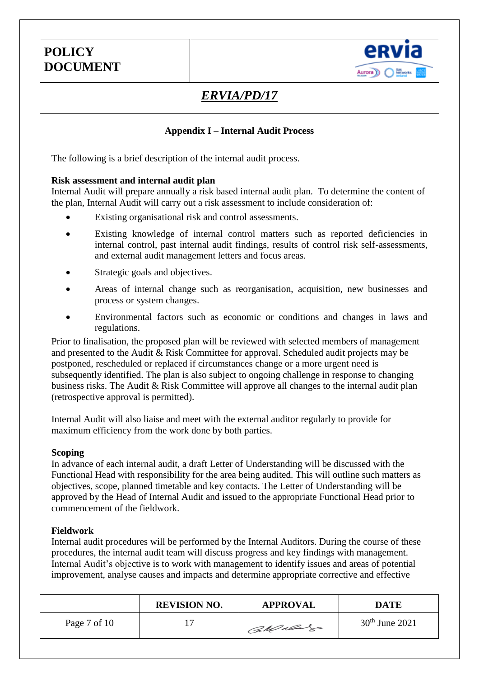

# *ERVIA/PD/17*

### **Appendix I – Internal Audit Process**

The following is a brief description of the internal audit process.

#### **Risk assessment and internal audit plan**

Internal Audit will prepare annually a risk based internal audit plan. To determine the content of the plan, Internal Audit will carry out a risk assessment to include consideration of:

- Existing organisational risk and control assessments.
- Existing knowledge of internal control matters such as reported deficiencies in internal control, past internal audit findings, results of control risk self-assessments, and external audit management letters and focus areas.
- Strategic goals and objectives.
- Areas of internal change such as reorganisation, acquisition, new businesses and process or system changes.
- Environmental factors such as economic or conditions and changes in laws and regulations.

Prior to finalisation, the proposed plan will be reviewed with selected members of management and presented to the Audit & Risk Committee for approval. Scheduled audit projects may be postponed, rescheduled or replaced if circumstances change or a more urgent need is subsequently identified. The plan is also subject to ongoing challenge in response to changing business risks. The Audit & Risk Committee will approve all changes to the internal audit plan (retrospective approval is permitted).

Internal Audit will also liaise and meet with the external auditor regularly to provide for maximum efficiency from the work done by both parties.

#### **Scoping**

In advance of each internal audit, a draft Letter of Understanding will be discussed with the Functional Head with responsibility for the area being audited. This will outline such matters as objectives, scope, planned timetable and key contacts. The Letter of Understanding will be approved by the Head of Internal Audit and issued to the appropriate Functional Head prior to commencement of the fieldwork.

#### **Fieldwork**

Internal audit procedures will be performed by the Internal Auditors. During the course of these procedures, the internal audit team will discuss progress and key findings with management. Internal Audit's objective is to work with management to identify issues and areas of potential improvement, analyse causes and impacts and determine appropriate corrective and effective

|              | <b>REVISION NO.</b> | <b>APPROVAL</b> | DATE             |
|--------------|---------------------|-----------------|------------------|
| Page 7 of 10 |                     | CaMulage        | $30th$ June 2021 |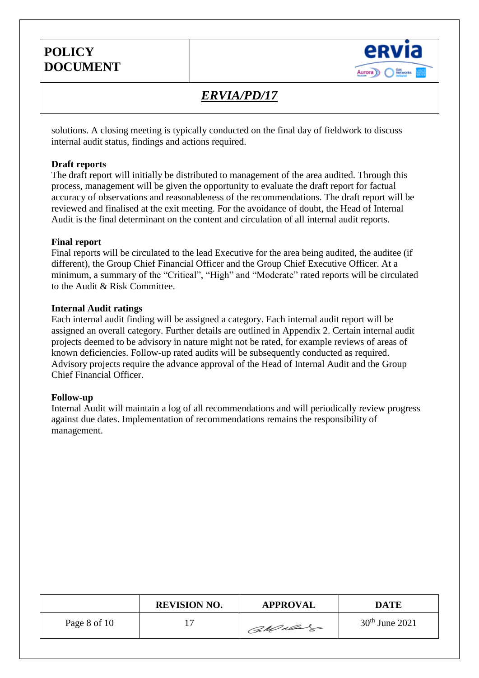

## *ERVIA/PD/17*

solutions. A closing meeting is typically conducted on the final day of fieldwork to discuss internal audit status, findings and actions required.

#### **Draft reports**

The draft report will initially be distributed to management of the area audited. Through this process, management will be given the opportunity to evaluate the draft report for factual accuracy of observations and reasonableness of the recommendations. The draft report will be reviewed and finalised at the exit meeting. For the avoidance of doubt, the Head of Internal Audit is the final determinant on the content and circulation of all internal audit reports.

#### **Final report**

Final reports will be circulated to the lead Executive for the area being audited, the auditee (if different), the Group Chief Financial Officer and the Group Chief Executive Officer. At a minimum, a summary of the "Critical", "High" and "Moderate" rated reports will be circulated to the Audit & Risk Committee.

#### **Internal Audit ratings**

Each internal audit finding will be assigned a category. Each internal audit report will be assigned an overall category. Further details are outlined in Appendix 2. Certain internal audit projects deemed to be advisory in nature might not be rated, for example reviews of areas of known deficiencies. Follow-up rated audits will be subsequently conducted as required. Advisory projects require the advance approval of the Head of Internal Audit and the Group Chief Financial Officer.

#### **Follow-up**

Internal Audit will maintain a log of all recommendations and will periodically review progress against due dates. Implementation of recommendations remains the responsibility of management.

|              | <b>REVISION NO.</b> | <b>APPROVAL</b> | DATE             |
|--------------|---------------------|-----------------|------------------|
| Page 8 of 10 |                     | CaMulage        | $30th$ June 2021 |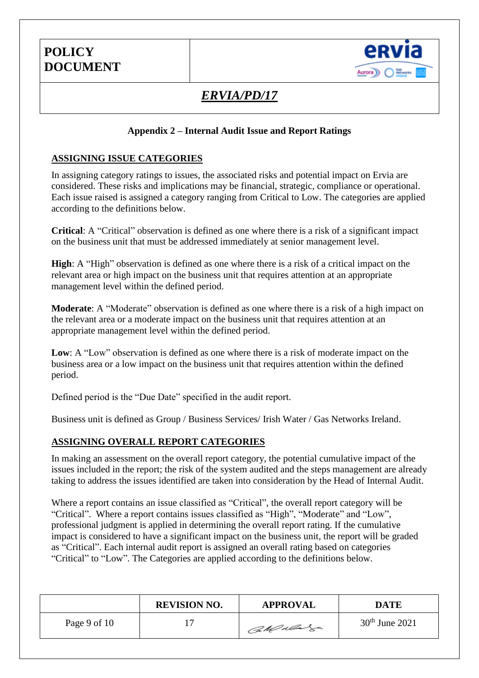

# *ERVIA/PD/17*

### **Appendix 2 – Internal Audit Issue and Report Ratings**

#### **ASSIGNING ISSUE CATEGORIES**

In assigning category ratings to issues, the associated risks and potential impact on Ervia are considered. These risks and implications may be financial, strategic, compliance or operational. Each issue raised is assigned a category ranging from Critical to Low. The categories are applied according to the definitions below.

**Critical**: A "Critical" observation is defined as one where there is a risk of a significant impact on the business unit that must be addressed immediately at senior management level.

**High**: A "High" observation is defined as one where there is a risk of a critical impact on the relevant area or high impact on the business unit that requires attention at an appropriate management level within the defined period.

**Moderate**: A "Moderate" observation is defined as one where there is a risk of a high impact on the relevant area or a moderate impact on the business unit that requires attention at an appropriate management level within the defined period.

**Low**: A "Low" observation is defined as one where there is a risk of moderate impact on the business area or a low impact on the business unit that requires attention within the defined period.

Defined period is the "Due Date" specified in the audit report.

Business unit is defined as Group / Business Services/ Irish Water / Gas Networks Ireland.

#### **ASSIGNING OVERALL REPORT CATEGORIES**

In making an assessment on the overall report category, the potential cumulative impact of the issues included in the report; the risk of the system audited and the steps management are already taking to address the issues identified are taken into consideration by the Head of Internal Audit.

Where a report contains an issue classified as "Critical", the overall report category will be "Critical". Where a report contains issues classified as "High", "Moderate" and "Low", professional judgment is applied in determining the overall report rating. If the cumulative impact is considered to have a significant impact on the business unit, the report will be graded as "Critical". Each internal audit report is assigned an overall rating based on categories "Critical" to "Low". The Categories are applied according to the definitions below.

|              | <b>REVISION NO.</b>      | <b>APPROVAL</b> | <b>DATE</b>      |
|--------------|--------------------------|-----------------|------------------|
| Page 9 of 10 | $\overline{\phantom{0}}$ | CaMulage        | $30th$ June 2021 |